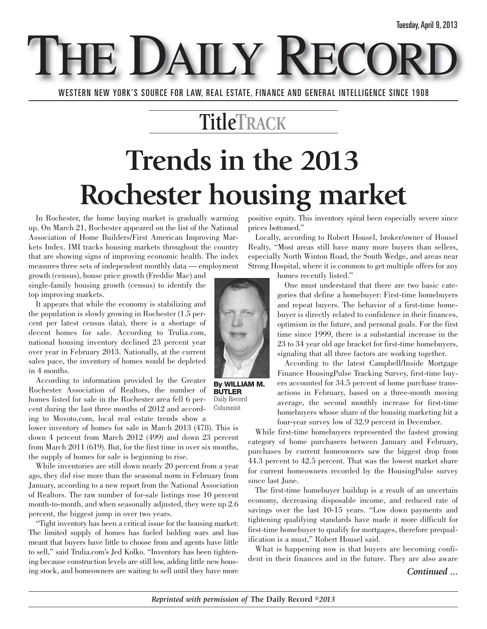E DAILY

WESTERN NEW YORK'S SOURCE FOR LAW, REAL ESTATE, FINANCE AND GENERAL INTELLIGENCE SINCE 1908

### **TitleTRACK**

## **Trends in the 2013 Rochester housing market**

In Rochester, the home buying market is gradually warming up. On March 21, Rochester appeared on the list of the National Association of Home Builders/First American Improving Markets Index. IMI tracks housing markets throughout the country that are showing signs of improving economic health. The index measures three sets of independent monthly data — employment

growth (census), house price growth (Freddie Mac) and single-family housing growth (census) to identify the top improving markets.

It appears that while the economy is stabilizing and the population is slowly growing in Rochester (1.5 percent per latest census data), there is a shortage of decent homes for sale. According to Trulia.com, national housing inventory declined 23 percent year over year in February 2013. Nationally, at the current sales pace, the inventory of homes would be depleted in 4 months.

According to information provided by the Greater Rochester Association of Realtors, the number of homes listed for sale in the Rochester area fell 6 percent during the last three months of 2012 and according to Movoto.com, local real estate trends show a

lower inventory of homes for sale in March 2013 (478). This is down 4 percent from March 2012 (499) and down 23 percent from March 2011 (619). But, for the first time in over six months, the supply of homes for sale is beginning to rise.

While inventories are still down nearly 20 percent from a year ago, they did rise more than the seasonal norm in February from January, according to a new report from the National Association of Realtors. The raw number of for-sale listings rose 10 percent month-to-month, and when seasonally adjusted, they were up 2.6 percent, the biggest jump in over two years.

"Tight inventory has been a critical issue for the housing market: The limited supply of homes has fueled bidding wars and has meant that buyers have little to choose from and agents have little to sell," said Trulia.com's Jed Kolko. "Inventory has been tightening because construction levels are still low, adding little new housing stock, and homeowners are waiting to sell until they have more positive equity. This inventory spiral been especially severe since prices bottomed."

Locally, according to Robert Housel, broker/owner of Housel Realty, "Most areas still have many more buyers than sellers, especially North Winton Road, the South Wedge, and areas near Strong Hospital, where it is common to get multiple offers for any

homes recently listed."

One must understand that there are two basic categories that define a homebuyer: First-time homebuyers and repeat buyers. The behavior of a first-time homebuyer is directly related to confidence in their finances, optimism in the future, and personal goals. For the first time since 1999, there is a substantial increase in the 23 to 34 year old age bracket for first-time homebuyers, signaling that all three factors are working together.

According to the latest Campbell/Inside Mortgage Finance HousingPulse Tracking Survey, first-time buyers accounted for 34.5 percent of home purchase transactions in February, based on a three-month moving average, the second monthly increase for first-time homebuyers whose share of the housing marketing hit a four-year survey low of 32.9 percent in December.

While first-time homebuyers represented the fastest growing category of home purchasers between January and February, purchases by current homeowners saw the biggest drop from 44.3 percent to 42.5 percent. That was the lowest market share for current homeowners recorded by the HousingPulse survey since last June.

The first-time homebuyer buildup is a result of an uncertain economy, decreasing disposable income, and reduced rate of savings over the last 10-15 years. "Low down payments and tightening qualifying standards have made it more difficult for first-time homebuyer to qualify for mortgages, therefore prequalification is a must," Robert Housel said.

What is happening now is that buyers are becoming confident in their finances and in the future. They are also aware



**By WILLIAM M. BUTLER** Daily Record Columnist